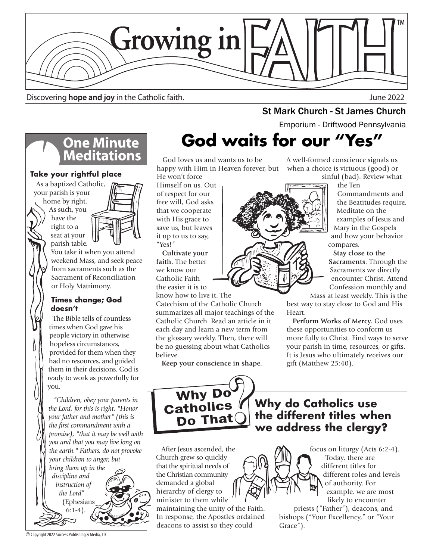

Discovering **hope and joy** in the Catholic faith. June 2022

**St Mark Church - St James Church - St Mark Church - St James Church - St Amely** 

## **God waits for our "Yes"**

 God loves us and wants us to be happy with Him in Heaven forever, but He won't force

Himself on us. Out of respect for our free will, God asks that we cooperate with His grace to save us, but leaves it up to us to say, "Yes!"

 **Cultivate your faith.** The better we know our Catholic Faith the easier it is to know how to live it. The

Catechism of the Catholic Church summarizes all major teachings of the Catholic Church. Read an article in it each day and learn a new term from the glossary weekly. Then, there will be no guessing about what Catholics believe.

 **Keep your conscience in shape.**

A well-formed conscience signals us when a choice is virtuous (good) or sinful (bad). Review what

the Ten

Commandments and the Beatitudes require. Meditate on the examples of Jesus and Mary in the Gospels and how your behavior compares.

 **Stay close to the Sacraments**. Through the Sacraments we directly encounter Christ. Attend Confession monthly and

Mass at least weekly. This is the best way to stay close to God and His Heart.

 **Perform Works of Mercy.** God uses these opportunities to conform us more fully to Christ. Find ways to serve your parish in time, resources, or gifts. It is Jesus who ultimately receives our gift (Matthew 25:40).



**Why do Catholics use the different titles when we address the clergy?**

 After Jesus ascended, the Church grew so quickly that the spiritual needs of the Christian community demanded a global hierarchy of clergy to minister to them while

maintaining the unity of the Faith. In response, the Apostles ordained deacons to assist so they could

focus on liturgy (Acts 6:2-4). Today, there are different titles for different roles and levels of authority. For example, we are most likely to encounter

priests ("Father"), deacons, and bishops ("Your Excellency," or "Your Grace").

# **One Minute<br>Meditations**

### **Take your rightful place**

 As a baptized Catholic, your parish is your home by right.

As such, you have the right to a seat at your parish table.



You take it when you attend weekend Mass, and seek peace from sacraments such as the Sacrament of Reconciliation or Holy Matrimony.

#### **Times change; God doesn't**

 The Bible tells of countless times when God gave his people victory in otherwise hopeless circumstances, provided for them when they had no resources, and guided them in their decisions. God is ready to work as powerfully for you.

 *"Children, obey your parents in the Lord, for this is right. "Honor your father and mother" (this is the first commandment with a promise), "that it may be well with you and that you may live long on the earth." Fathers, do not provoke your children to anger, but bring them up in the* 

*discipline and instruction of the Lord"*  (Ephesians

6:1-4).

© Copyright 2022 Success Publishing & Media, LLC